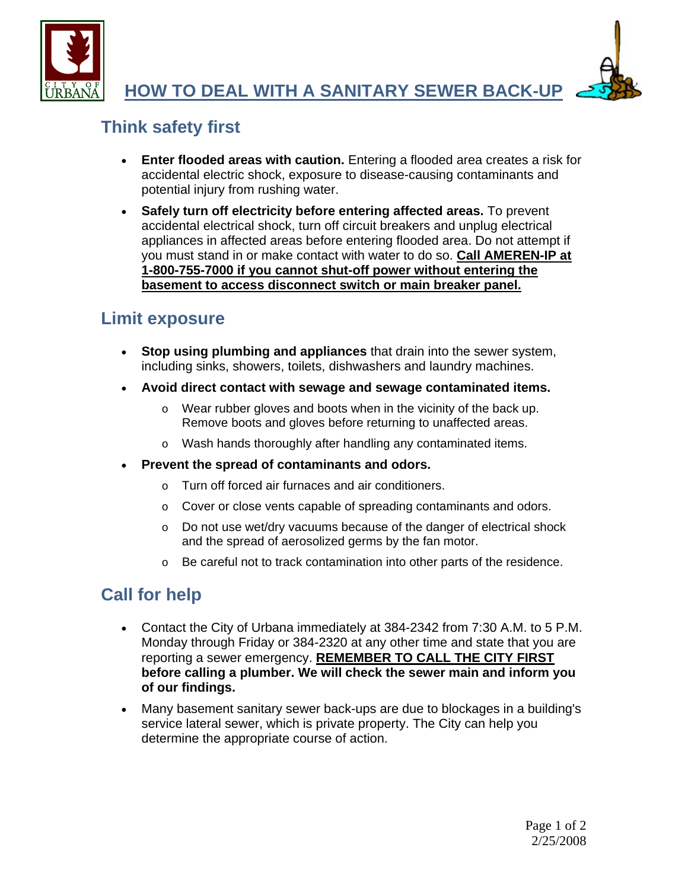



# **Think safety first**

- **Enter flooded areas with caution.** Entering a flooded area creates a risk for accidental electric shock, exposure to disease-causing contaminants and potential injury from rushing water.
- **Safely turn off electricity before entering affected areas.** To prevent accidental electrical shock, turn off circuit breakers and unplug electrical appliances in affected areas before entering flooded area. Do not attempt if you must stand in or make contact with water to do so. **Call AMEREN-IP at 1-800-755-7000 if you cannot shut-off power without entering the basement to access disconnect switch or main breaker panel.**

### **Limit exposure**

- **Stop using plumbing and appliances** that drain into the sewer system, including sinks, showers, toilets, dishwashers and laundry machines.
- **Avoid direct contact with sewage and sewage contaminated items.**
	- o Wear rubber gloves and boots when in the vicinity of the back up. Remove boots and gloves before returning to unaffected areas.
	- o Wash hands thoroughly after handling any contaminated items.
- **Prevent the spread of contaminants and odors.**
	- o Turn off forced air furnaces and air conditioners.
	- o Cover or close vents capable of spreading contaminants and odors.
	- o Do not use wet/dry vacuums because of the danger of electrical shock and the spread of aerosolized germs by the fan motor.
	- o Be careful not to track contamination into other parts of the residence.

# **Call for help**

- Contact the City of Urbana immediately at 384-2342 from 7:30 A.M. to 5 P.M. Monday through Friday or 384-2320 at any other time and state that you are reporting a sewer emergency. **REMEMBER TO CALL THE CITY FIRST before calling a plumber. We will check the sewer main and inform you of our findings.**
- Many basement sanitary sewer back-ups are due to blockages in a building's service lateral sewer, which is private property. The City can help you determine the appropriate course of action.